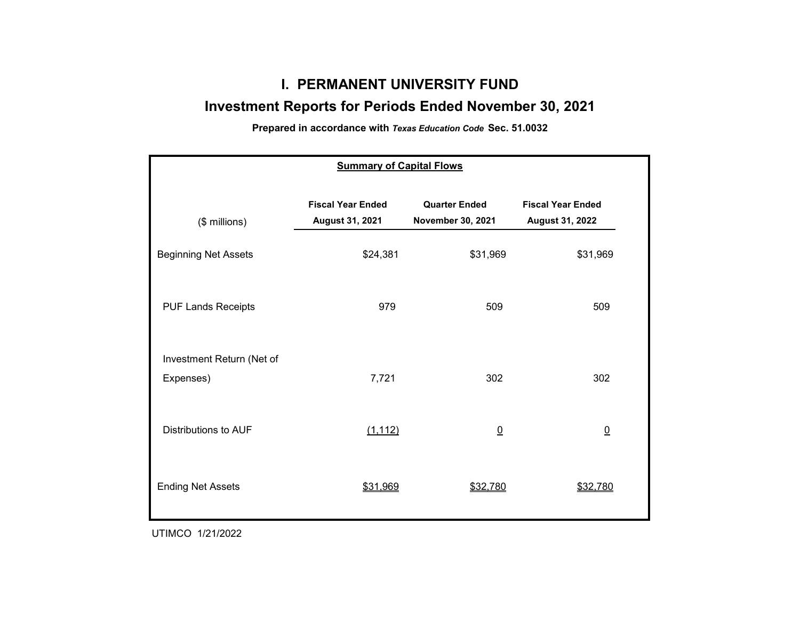# **I. PERMANENT UNIVERSITY FUND**

# **Investment Reports for Periods Ended November 30, 2021**

**Prepared in accordance with** *Texas Education Code* **Sec. 51.0032**

| <b>Summary of Capital Flows</b>        |                                             |                                           |                                                    |  |  |  |  |  |  |
|----------------------------------------|---------------------------------------------|-------------------------------------------|----------------------------------------------------|--|--|--|--|--|--|
| (\$ millions)                          | <b>Fiscal Year Ended</b><br>August 31, 2021 | <b>Quarter Ended</b><br>November 30, 2021 | <b>Fiscal Year Ended</b><br><b>August 31, 2022</b> |  |  |  |  |  |  |
| <b>Beginning Net Assets</b>            | \$24,381                                    | \$31,969                                  | \$31,969                                           |  |  |  |  |  |  |
| <b>PUF Lands Receipts</b>              | 979                                         | 509                                       | 509                                                |  |  |  |  |  |  |
| Investment Return (Net of<br>Expenses) | 7,721                                       | 302                                       | 302                                                |  |  |  |  |  |  |
| Distributions to AUF                   | (1, 112)                                    | $\underline{0}$                           | $\underline{0}$                                    |  |  |  |  |  |  |
| <b>Ending Net Assets</b>               | \$31,969                                    | \$32,780                                  | \$32,780                                           |  |  |  |  |  |  |

UTIMCO 1/21/2022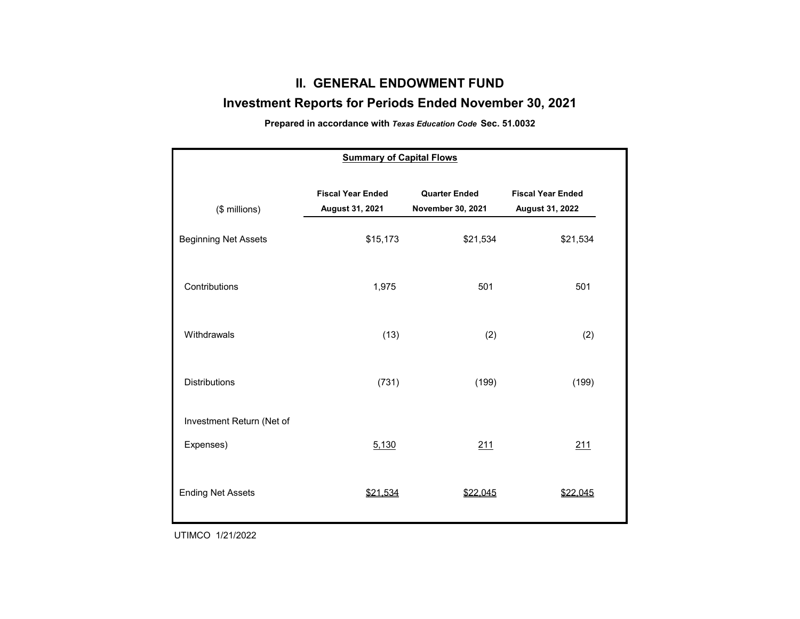## **II. GENERAL ENDOWMENT FUND**

### **Investment Reports for Periods Ended November 30, 2021**

**Prepared in accordance with** *Texas Education Code* **Sec. 51.0032**

| <b>Summary of Capital Flows</b> |                                             |                                           |                                             |  |  |  |  |  |  |  |
|---------------------------------|---------------------------------------------|-------------------------------------------|---------------------------------------------|--|--|--|--|--|--|--|
| (\$ millions)                   | <b>Fiscal Year Ended</b><br>August 31, 2021 | <b>Quarter Ended</b><br>November 30, 2021 | <b>Fiscal Year Ended</b><br>August 31, 2022 |  |  |  |  |  |  |  |
| <b>Beginning Net Assets</b>     | \$15,173                                    | \$21,534                                  | \$21,534                                    |  |  |  |  |  |  |  |
| Contributions                   | 1,975                                       | 501                                       | 501                                         |  |  |  |  |  |  |  |
| Withdrawals                     | (13)                                        | (2)                                       | (2)                                         |  |  |  |  |  |  |  |
| <b>Distributions</b>            | (731)                                       | (199)                                     | (199)                                       |  |  |  |  |  |  |  |
| Investment Return (Net of       |                                             |                                           |                                             |  |  |  |  |  |  |  |
| Expenses)                       | 5,130                                       | 211                                       | 211                                         |  |  |  |  |  |  |  |
| <b>Ending Net Assets</b>        | \$21,534                                    | \$22,045                                  | \$22,045                                    |  |  |  |  |  |  |  |

UTIMCO 1/21/2022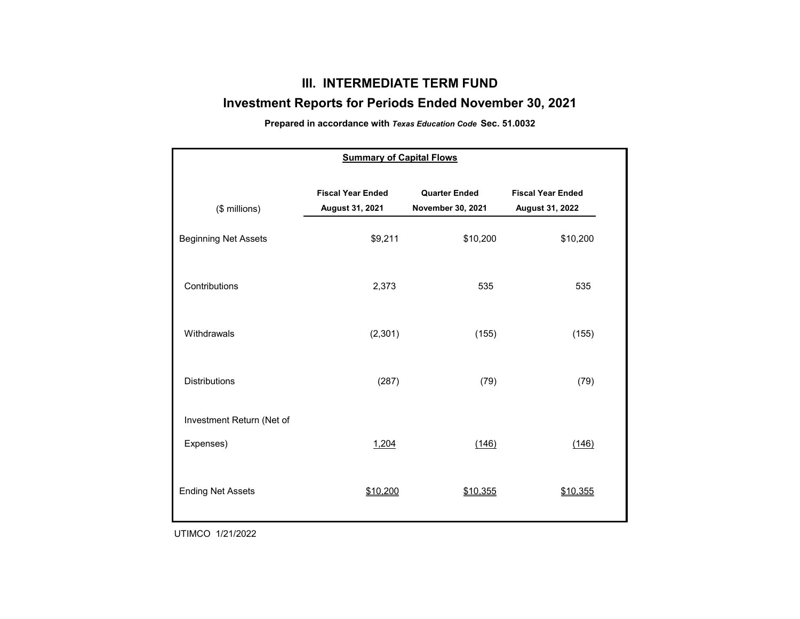## **III. INTERMEDIATE TERM FUND**

### **Investment Reports for Periods Ended November 30, 2021**

**Prepared in accordance with** *Texas Education Code* **Sec. 51.0032**

| <b>Summary of Capital Flows</b> |                                             |                                           |                                             |  |  |  |  |  |  |  |
|---------------------------------|---------------------------------------------|-------------------------------------------|---------------------------------------------|--|--|--|--|--|--|--|
| (\$ millions)                   | <b>Fiscal Year Ended</b><br>August 31, 2021 | <b>Quarter Ended</b><br>November 30, 2021 | <b>Fiscal Year Ended</b><br>August 31, 2022 |  |  |  |  |  |  |  |
| <b>Beginning Net Assets</b>     | \$9,211                                     | \$10,200                                  | \$10,200                                    |  |  |  |  |  |  |  |
| Contributions                   | 2,373                                       | 535                                       | 535                                         |  |  |  |  |  |  |  |
| Withdrawals                     | (2,301)                                     | (155)                                     | (155)                                       |  |  |  |  |  |  |  |
| <b>Distributions</b>            | (287)                                       | (79)                                      | (79)                                        |  |  |  |  |  |  |  |
| Investment Return (Net of       |                                             |                                           |                                             |  |  |  |  |  |  |  |
| Expenses)                       | 1,204                                       | (146)                                     | (146)                                       |  |  |  |  |  |  |  |
| <b>Ending Net Assets</b>        | \$10,200                                    | \$10,355                                  | \$10,355                                    |  |  |  |  |  |  |  |

UTIMCO 1/21/2022